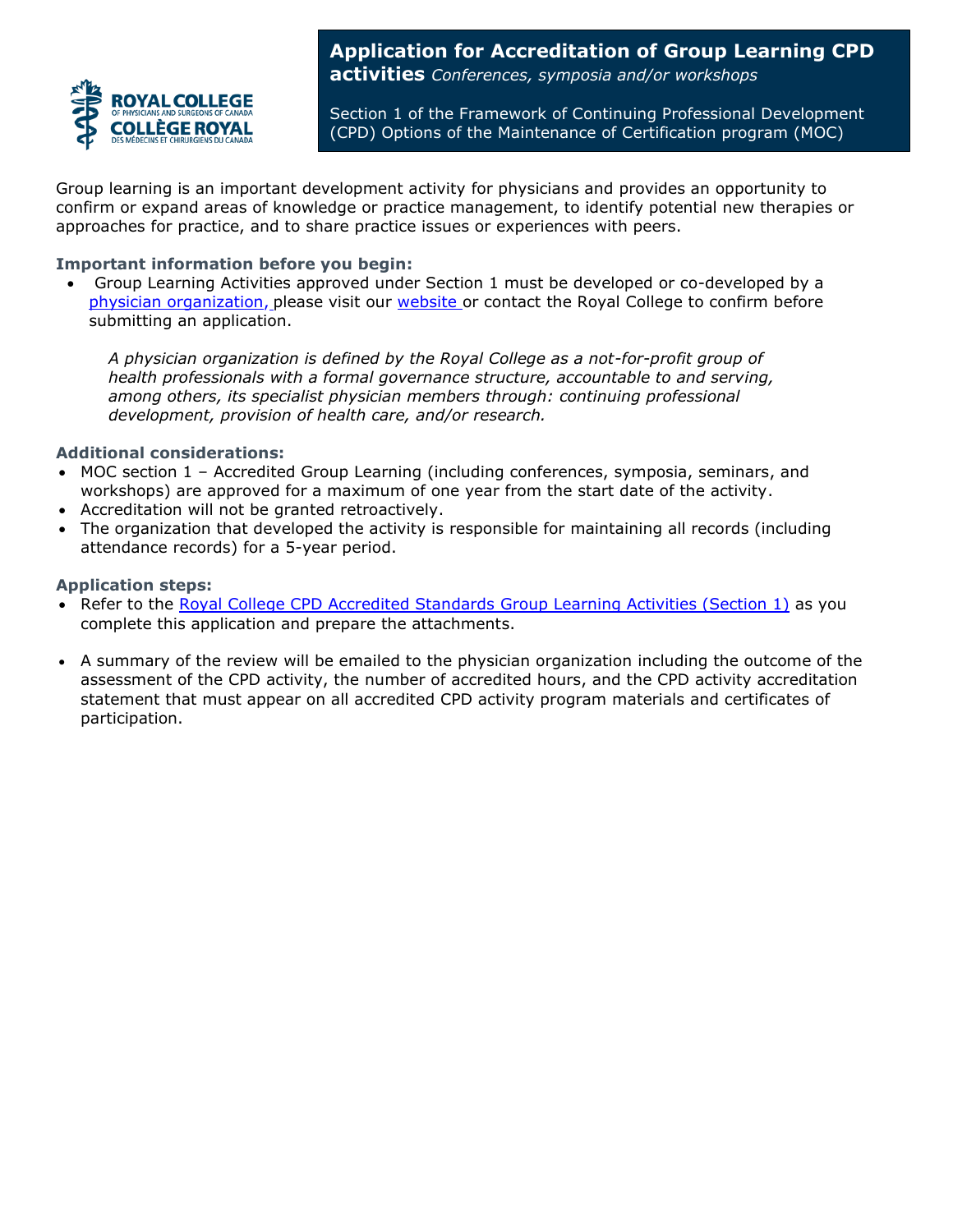

**Application for Accreditation of Group Learning CPD activities** *Conferences, symposia and/or workshops*

Section 1 of the Framework of Continuing Professional Development (CPD) Options of the Maintenance of Certification program (MOC)

Group learning is an important development activity for physicians and provides an opportunity to confirm or expand areas of knowledge or practice management, to identify potential new therapies or approaches for practice, and to share practice issues or experiences with peers.

#### **Important information before you begin:**

• Group Learning Activities approved under Section 1 must be developed or co-developed by a [physician organization,](http://www.royalcollege.ca/rcsite/cpd/accreditation/guidelines/what-is-physician-organization-e) please visit our [website o](http://www.royalcollege.ca/rcsite/cpd/accreditation/guidelines/what-is-physician-organization-e)r contact the Royal College to confirm before submitting an application.

*A physician organization is defined by the Royal College as a not-for-profit group of health professionals with a formal governance structure, accountable to and serving, among others, its specialist physician members through: continuing professional development, provision of health care, and/or research.* 

### **Additional considerations:**

- MOC section 1 Accredited Group Learning (including conferences, symposia, seminars, and workshops) are approved for a maximum of one year from the start date of the activity.
- Accreditation will not be granted retroactively.
- The organization that developed the activity is responsible for maintaining all records (including attendance records) for a 5-year period.

#### **Application steps:**

- Refer to the [Royal College CPD Accredited Standards Group Learning Activities \(Section 1\)](http://www.royalcollege.ca/rcsite/documents/continuing-professional-development/section-1-standards-e.pdf) as you complete this application and prepare the attachments.
- A summary of the review will be emailed to the physician organization including the outcome of the assessment of the CPD activity, the number of accredited hours, and the CPD activity accreditation statement that must appear on all accredited CPD activity program materials and certificates of participation.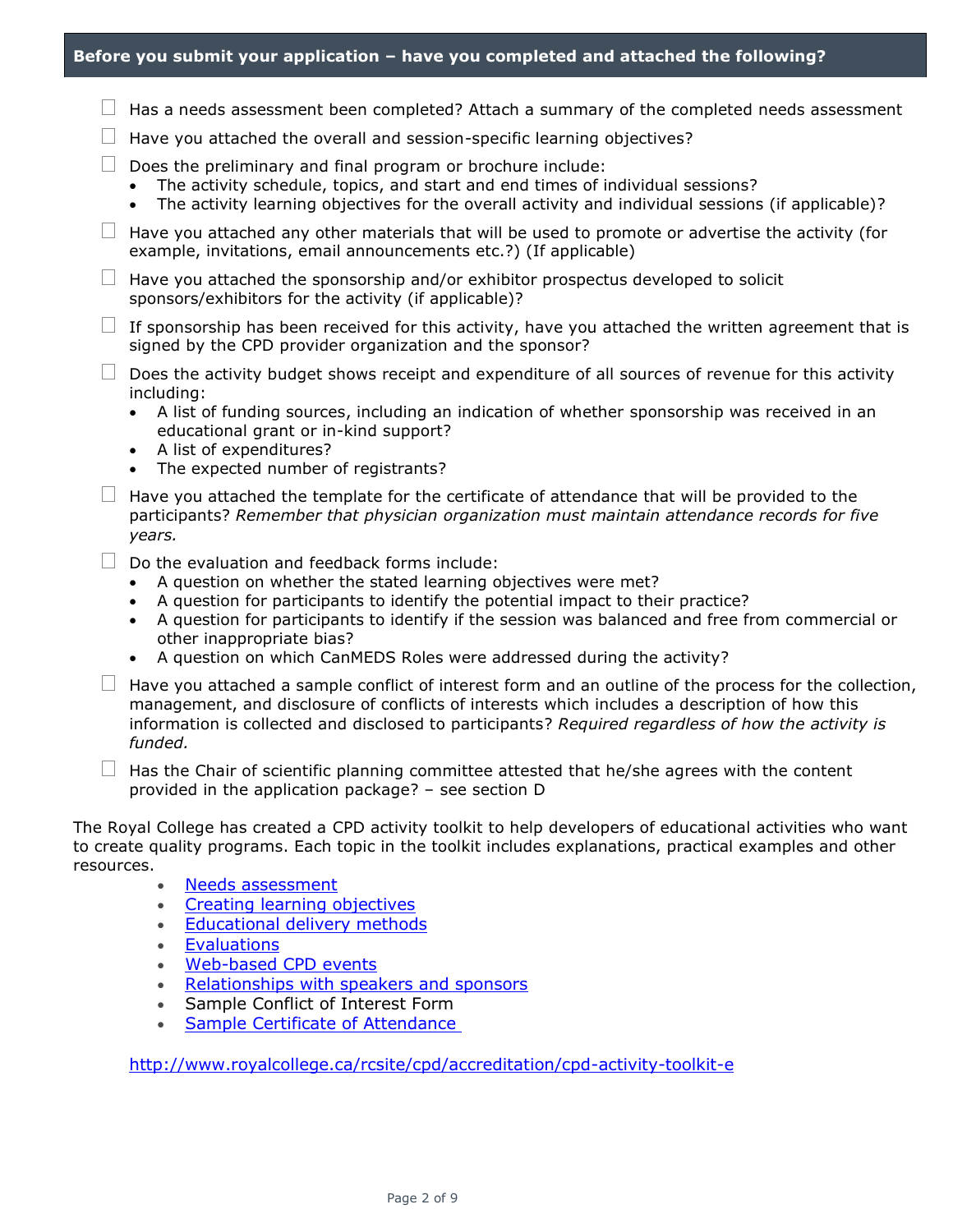| Before you submit your application - have you completed and attached the following?                                                                                                                                                                                                                                                                                                                                                   |
|---------------------------------------------------------------------------------------------------------------------------------------------------------------------------------------------------------------------------------------------------------------------------------------------------------------------------------------------------------------------------------------------------------------------------------------|
| $\Box$ Has a needs assessment been completed? Attach a summary of the completed needs assessment                                                                                                                                                                                                                                                                                                                                      |
| Have you attached the overall and session-specific learning objectives?                                                                                                                                                                                                                                                                                                                                                               |
| Does the preliminary and final program or brochure include:<br>The activity schedule, topics, and start and end times of individual sessions?<br>The activity learning objectives for the overall activity and individual sessions (if applicable)?<br>$\bullet$                                                                                                                                                                      |
| Have you attached any other materials that will be used to promote or advertise the activity (for<br>example, invitations, email announcements etc.?) (If applicable)                                                                                                                                                                                                                                                                 |
| Have you attached the sponsorship and/or exhibitor prospectus developed to solicit<br>sponsors/exhibitors for the activity (if applicable)?                                                                                                                                                                                                                                                                                           |
| If sponsorship has been received for this activity, have you attached the written agreement that is<br>signed by the CPD provider organization and the sponsor?                                                                                                                                                                                                                                                                       |
| Does the activity budget shows receipt and expenditure of all sources of revenue for this activity<br>including:<br>A list of funding sources, including an indication of whether sponsorship was received in an<br>$\bullet$<br>educational grant or in-kind support?<br>A list of expenditures?<br>$\bullet$<br>The expected number of registrants?<br>$\bullet$                                                                    |
| Have you attached the template for the certificate of attendance that will be provided to the<br>participants? Remember that physician organization must maintain attendance records for five<br>years.                                                                                                                                                                                                                               |
| Do the evaluation and feedback forms include:<br>A question on whether the stated learning objectives were met?<br>A question for participants to identify the potential impact to their practice?<br>A question for participants to identify if the session was balanced and free from commercial or<br>$\bullet$<br>other inappropriate bias?<br>A question on which CanMEDS Roles were addressed during the activity?<br>$\bullet$ |
| Have you attached a sample conflict of interest form and an outline of the process for the collection,<br>management, and disclosure of conflicts of interests which includes a description of how this<br>information is collected and disclosed to participants? Required regardless of how the activity is<br>funded.                                                                                                              |
| Has the Chair of scientific planning committee attested that he/she agrees with the content<br>provided in the application package? - see section D                                                                                                                                                                                                                                                                                   |
| The Roval College has created a CPD activity toolkit to help developers of educational activities who want                                                                                                                                                                                                                                                                                                                            |

The Royal College has created a [CPD activity toolkit t](http://www.royalcollege.ca/rcsite/cpd/accreditation/cpd-activity-toolkit-e)o help developers of educational activities who want to create quality programs. Each topic in the toolkit includes explanations, practical examples and other resources.

- [Needs assessment](http://www.royalcollege.ca/rcsite/cpd/accreditation/toolkit/cpd-activity-toolkit-needs-assessment-e)
- [Creating learning objectives](http://www.royalcollege.ca/rcsite/cpd/accreditation/toolkit/cpd-activity-toolkit-creating-learning-objectives-e)
- [Educational delivery methods](http://www.royalcollege.ca/rcsite/cpd/accreditation/toolkit/cpd-activity-toolkit-educational-delivery-method-e)
- [Evaluations](http://www.royalcollege.ca/rcsite/cpd/accreditation/toolkit/cpd-activity-toolkit-evaluations-e)
- [Web-based CPD events](http://www.royalcollege.ca/rcsite/cpd/accreditation/toolkit/requirements-web-based-cpd-activities-e)
- [Relationships with speakers and sponsors](http://www.royalcollege.ca/rcsite/cpd/accreditation/toolkit/cpd-activity-toolkit-relationships-with-speakers-financial-sponsors-e)
- Sample Conflict of Interest Form
- [Sample Certificate of Attendance](http://www.royalcollege.ca/rcsite/documents/continuing-professional-development/certificate-of-attendance-b.docx)

<http://www.royalcollege.ca/rcsite/cpd/accreditation/cpd-activity-toolkit-e>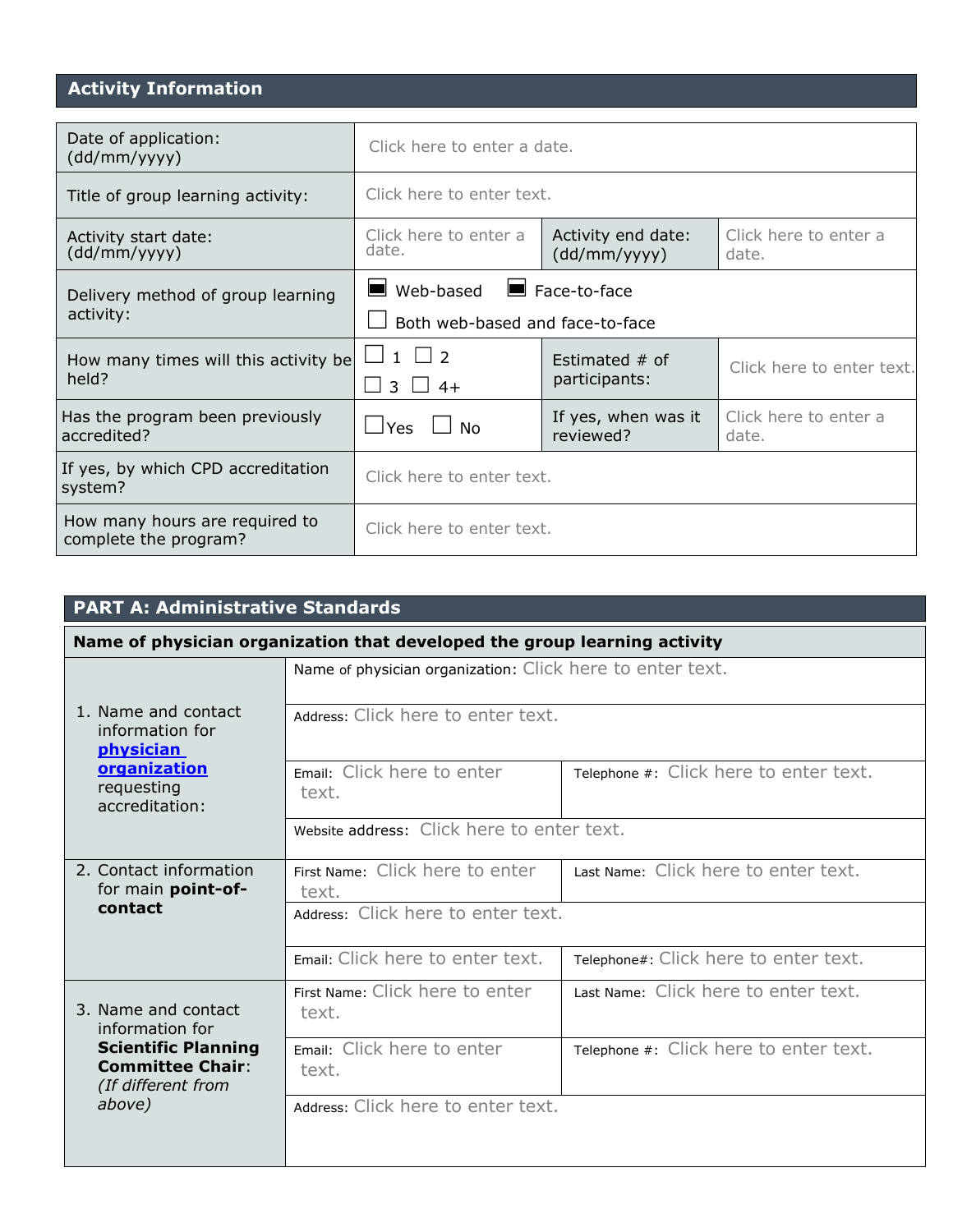# **Activity Information**

| Date of application:<br>(dd/mm/yyyy)                    | Click here to enter a date.                                                                            |                                   |                                |  |  |
|---------------------------------------------------------|--------------------------------------------------------------------------------------------------------|-----------------------------------|--------------------------------|--|--|
| Title of group learning activity:                       | Click here to enter text.                                                                              |                                   |                                |  |  |
| Activity start date:<br>(dd/mm/yyyy)                    | Activity end date:<br>Click here to enter a<br>Click here to enter a<br>date.<br>(dd/mm/yyyy)<br>date. |                                   |                                |  |  |
| Delivery method of group learning                       | $\blacksquare$ Web-based                                                                               | $\blacksquare$ Face-to-face       |                                |  |  |
| activity:                                               | Both web-based and face-to-face                                                                        |                                   |                                |  |  |
| How many times will this activity be<br>held?           | $\Box$ 1 $\Box$ 2<br>$3 \mid 4+$                                                                       | Estimated $#$ of<br>participants: | Click here to enter text.      |  |  |
| Has the program been previously<br>accredited?          | <b>Yes</b><br>Nο                                                                                       | If yes, when was it<br>reviewed?  | Click here to enter a<br>date. |  |  |
| If yes, by which CPD accreditation<br>system?           | Click here to enter text.                                                                              |                                   |                                |  |  |
| How many hours are required to<br>complete the program? | Click here to enter text.                                                                              |                                   |                                |  |  |

| <b>PART A: Administrative Standards</b>                                     |                                                                           |                                        |  |  |
|-----------------------------------------------------------------------------|---------------------------------------------------------------------------|----------------------------------------|--|--|
|                                                                             | Name of physician organization that developed the group learning activity |                                        |  |  |
|                                                                             | Name of physician organization: Click here to enter text.                 |                                        |  |  |
| 1. Name and contact<br>information for<br><b>physician</b>                  | Address: Click here to enter text.                                        |                                        |  |  |
| organization<br>requesting<br>accreditation:                                | Email: Click here to enter<br>text.                                       | Telephone #: Click here to enter text. |  |  |
|                                                                             | Website address: Click here to enter text.                                |                                        |  |  |
| 2. Contact information<br>for main point-of-                                | First Name: Click here to enter<br>text.                                  | Last Name: Click here to enter text.   |  |  |
| contact                                                                     | Address: Click here to enter text.                                        |                                        |  |  |
|                                                                             | Email: Click here to enter text.                                          | Telephone#: Click here to enter text.  |  |  |
| 3. Name and contact<br>information for                                      | First Name: Click here to enter<br>text.                                  | Last Name: Click here to enter text.   |  |  |
| <b>Scientific Planning</b><br><b>Committee Chair:</b><br>(If different from | Email: Click here to enter<br>text.                                       | Telephone #: Click here to enter text. |  |  |
| above)                                                                      | Address: Click here to enter text.                                        |                                        |  |  |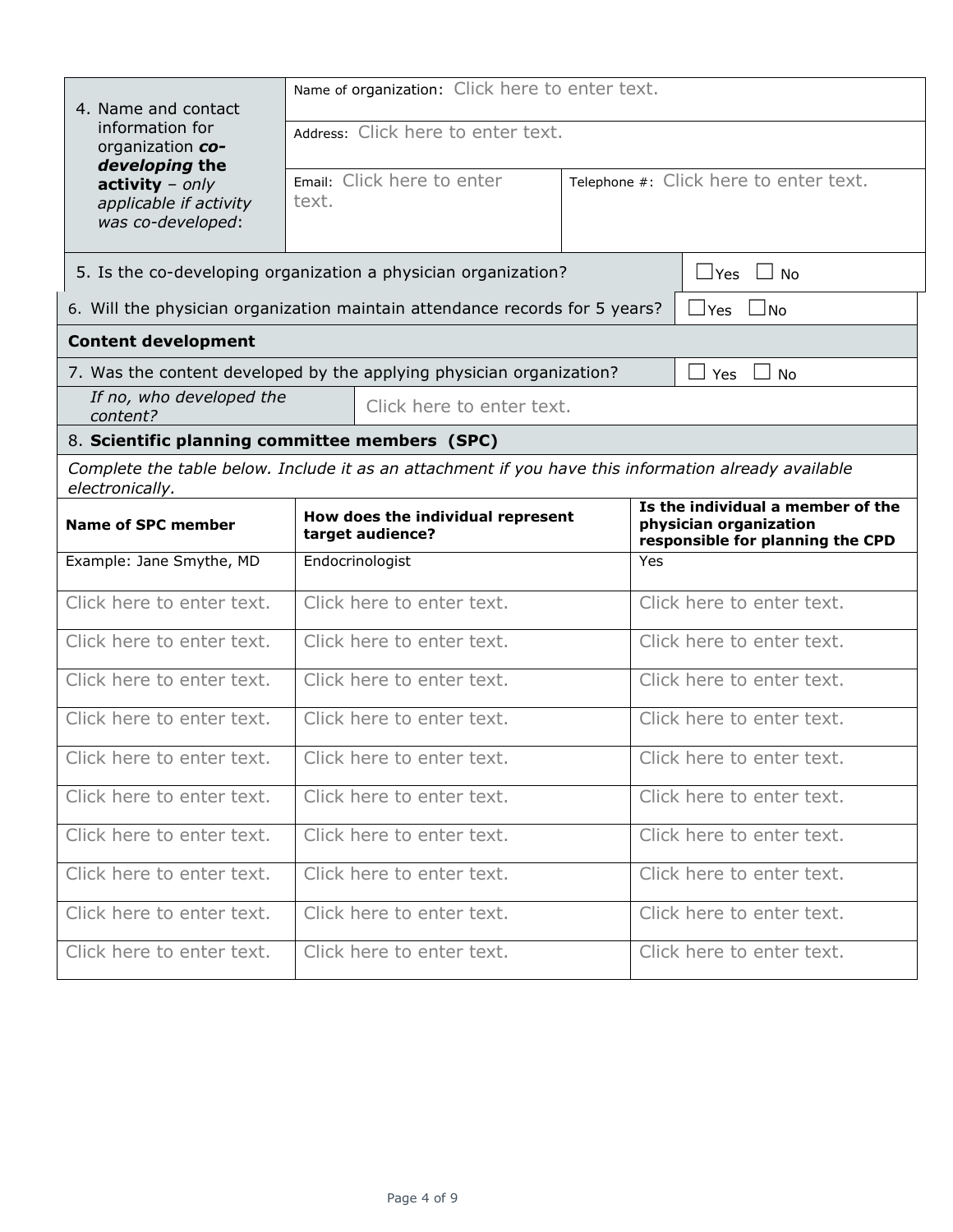| 4. Name and contact                                                                         | Name of organization: Click here to enter text.                                                      |                                                                                                 |                                        |  |  |  |
|---------------------------------------------------------------------------------------------|------------------------------------------------------------------------------------------------------|-------------------------------------------------------------------------------------------------|----------------------------------------|--|--|--|
| information for<br>organization co-                                                         | Address: Click here to enter text.                                                                   |                                                                                                 |                                        |  |  |  |
| developing the<br>$\textbf{activity} - only$<br>applicable if activity<br>was co-developed: | Email: Click here to enter<br>text.                                                                  |                                                                                                 | Telephone #: Click here to enter text. |  |  |  |
|                                                                                             | 5. Is the co-developing organization a physician organization?                                       |                                                                                                 | $\Box$ Yes<br>$\Box$ No                |  |  |  |
|                                                                                             | 6. Will the physician organization maintain attendance records for 5 years?                          |                                                                                                 | ⊿Yes ∟No                               |  |  |  |
| <b>Content development</b>                                                                  |                                                                                                      |                                                                                                 |                                        |  |  |  |
|                                                                                             | 7. Was the content developed by the applying physician organization?                                 |                                                                                                 | Yes<br><b>No</b>                       |  |  |  |
| If no, who developed the<br>content?                                                        | Click here to enter text.                                                                            |                                                                                                 |                                        |  |  |  |
| 8. Scientific planning committee members (SPC)                                              |                                                                                                      |                                                                                                 |                                        |  |  |  |
| electronically.                                                                             | Complete the table below. Include it as an attachment if you have this information already available |                                                                                                 |                                        |  |  |  |
| How does the individual represent<br><b>Name of SPC member</b><br>target audience?          |                                                                                                      | Is the individual a member of the<br>physician organization<br>responsible for planning the CPD |                                        |  |  |  |
| Example: Jane Smythe, MD                                                                    | Endocrinologist                                                                                      | Yes                                                                                             |                                        |  |  |  |
| Click here to enter text.                                                                   | Click here to enter text.                                                                            |                                                                                                 | Click here to enter text.              |  |  |  |
| Click here to enter text.                                                                   | Click here to enter text.                                                                            |                                                                                                 | Click here to enter text.              |  |  |  |
| Click here to enter text.                                                                   | Click here to enter text.                                                                            |                                                                                                 | Click here to enter text.              |  |  |  |
| Click here to enter text.                                                                   | Click here to enter text.                                                                            |                                                                                                 | Click here to enter text.              |  |  |  |
| Click here to enter text.                                                                   | Click here to enter text.                                                                            |                                                                                                 | Click here to enter text.              |  |  |  |
| Click here to enter text.                                                                   | Click here to enter text.                                                                            |                                                                                                 | Click here to enter text.              |  |  |  |
| Click here to enter text.                                                                   | Click here to enter text.                                                                            |                                                                                                 | Click here to enter text.              |  |  |  |
| Click here to enter text.                                                                   | Click here to enter text.                                                                            |                                                                                                 | Click here to enter text.              |  |  |  |
| Click here to enter text.                                                                   | Click here to enter text.                                                                            |                                                                                                 | Click here to enter text.              |  |  |  |
| Click here to enter text.                                                                   | Click here to enter text.                                                                            |                                                                                                 | Click here to enter text.              |  |  |  |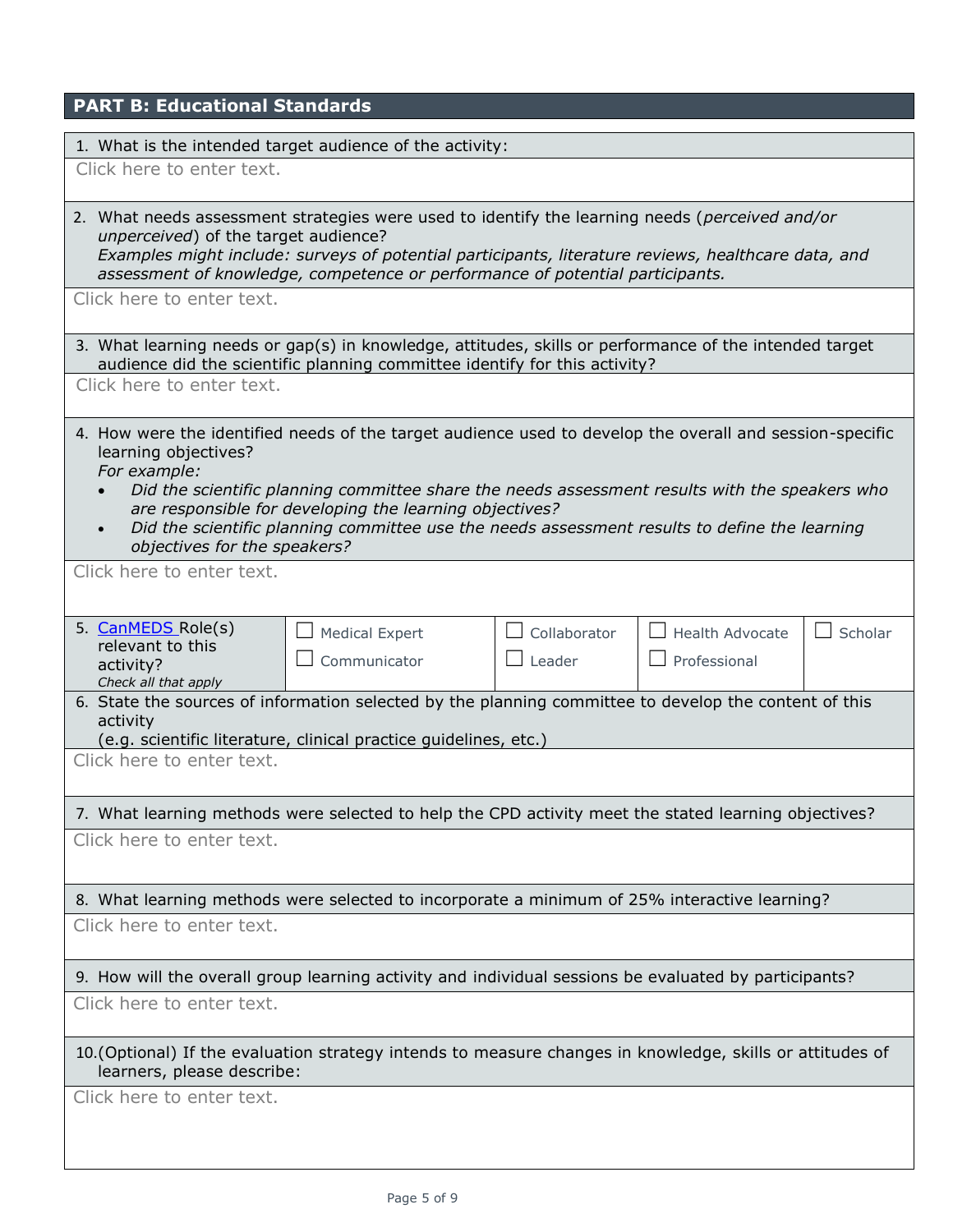| <b>PART B: Educational Standards</b>                                                                                                                                                          |                                                                                                                                                                                                                                                            |                                                    |                                 |                           |
|-----------------------------------------------------------------------------------------------------------------------------------------------------------------------------------------------|------------------------------------------------------------------------------------------------------------------------------------------------------------------------------------------------------------------------------------------------------------|----------------------------------------------------|---------------------------------|---------------------------|
| 1. What is the intended target audience of the activity:                                                                                                                                      |                                                                                                                                                                                                                                                            |                                                    |                                 |                           |
| Click here to enter text.                                                                                                                                                                     |                                                                                                                                                                                                                                                            |                                                    |                                 |                           |
| 2. What needs assessment strategies were used to identify the learning needs (perceived and/or<br>unperceived) of the target audience?                                                        | Examples might include: surveys of potential participants, literature reviews, healthcare data, and<br>assessment of knowledge, competence or performance of potential participants.                                                                       |                                                    |                                 |                           |
| Click here to enter text.                                                                                                                                                                     |                                                                                                                                                                                                                                                            |                                                    |                                 |                           |
| 3. What learning needs or gap(s) in knowledge, attitudes, skills or performance of the intended target                                                                                        | audience did the scientific planning committee identify for this activity?                                                                                                                                                                                 |                                                    |                                 |                           |
| Click here to enter text.                                                                                                                                                                     |                                                                                                                                                                                                                                                            |                                                    |                                 |                           |
| 4. How were the identified needs of the target audience used to develop the overall and session-specific<br>learning objectives?<br>For example:<br>$\bullet$<br>objectives for the speakers? | Did the scientific planning committee share the needs assessment results with the speakers who<br>are responsible for developing the learning objectives?<br>Did the scientific planning committee use the needs assessment results to define the learning |                                                    |                                 |                           |
| Click here to enter text.                                                                                                                                                                     |                                                                                                                                                                                                                                                            |                                                    |                                 |                           |
|                                                                                                                                                                                               |                                                                                                                                                                                                                                                            |                                                    |                                 |                           |
| 5. CanMEDS Role(s)<br>relevant to this<br>activity?<br>Check all that apply                                                                                                                   | <b>Medical Expert</b><br>Communicator                                                                                                                                                                                                                      | Collaborator<br>Leader<br>$\overline{\phantom{a}}$ | Health Advocate<br>Professional | Scholar<br>$\blacksquare$ |
| 6. State the sources of information selected by the planning committee to develop the content of this<br>activity                                                                             | (e.g. scientific literature, clinical practice guidelines, etc.)                                                                                                                                                                                           |                                                    |                                 |                           |
| Click here to enter text.                                                                                                                                                                     |                                                                                                                                                                                                                                                            |                                                    |                                 |                           |
| 7. What learning methods were selected to help the CPD activity meet the stated learning objectives?                                                                                          |                                                                                                                                                                                                                                                            |                                                    |                                 |                           |
| Click here to enter text.                                                                                                                                                                     |                                                                                                                                                                                                                                                            |                                                    |                                 |                           |
| 8. What learning methods were selected to incorporate a minimum of 25% interactive learning?                                                                                                  |                                                                                                                                                                                                                                                            |                                                    |                                 |                           |
| Click here to enter text.                                                                                                                                                                     |                                                                                                                                                                                                                                                            |                                                    |                                 |                           |
| 9. How will the overall group learning activity and individual sessions be evaluated by participants?                                                                                         |                                                                                                                                                                                                                                                            |                                                    |                                 |                           |
| Click here to enter text.                                                                                                                                                                     |                                                                                                                                                                                                                                                            |                                                    |                                 |                           |
| 10. (Optional) If the evaluation strategy intends to measure changes in knowledge, skills or attitudes of<br>learners, please describe:                                                       |                                                                                                                                                                                                                                                            |                                                    |                                 |                           |
| Click here to enter text.                                                                                                                                                                     |                                                                                                                                                                                                                                                            |                                                    |                                 |                           |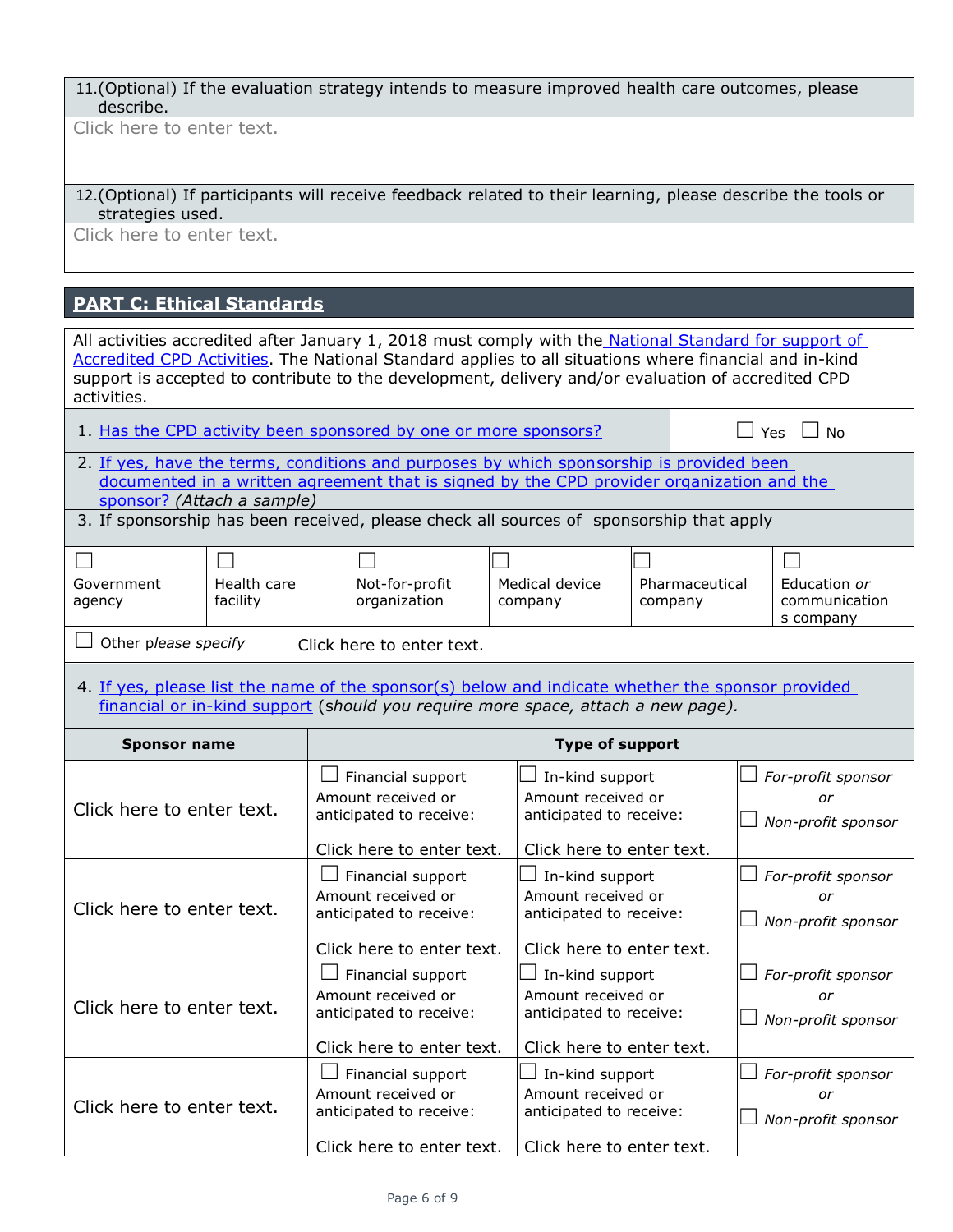11.(Optional) If the evaluation strategy intends to measure improved health care outcomes, please describe.

Click here to enter text.

| 12. (Optional) If participants will receive feedback related to their learning, please describe the tools or |  |
|--------------------------------------------------------------------------------------------------------------|--|
| strategies used.                                                                                             |  |

Click here to enter text.

# **[PART C: Ethical Standards](http://www.royalcollege.ca/rcsite/cpd/providers/tools-resources-accredited-cpd-providers/national-standard-accredited-cpd-activities-e)**

| All activities accredited after January 1, 2018 must comply with the National Standard for support of<br>Accredited CPD Activities. The National Standard applies to all situations where financial and in-kind<br>support is accepted to contribute to the development, delivery and/or evaluation of accredited CPD<br>activities. |                         |                                                                                                                                                                                                  |                                                                                                                                                                                       |                                                                  |                                                                                                                            |                                                |                           |                                                |                                                |
|--------------------------------------------------------------------------------------------------------------------------------------------------------------------------------------------------------------------------------------------------------------------------------------------------------------------------------------|-------------------------|--------------------------------------------------------------------------------------------------------------------------------------------------------------------------------------------------|---------------------------------------------------------------------------------------------------------------------------------------------------------------------------------------|------------------------------------------------------------------|----------------------------------------------------------------------------------------------------------------------------|------------------------------------------------|---------------------------|------------------------------------------------|------------------------------------------------|
|                                                                                                                                                                                                                                                                                                                                      |                         |                                                                                                                                                                                                  | 1. Has the CPD activity been sponsored by one or more sponsors?                                                                                                                       |                                                                  |                                                                                                                            |                                                |                           | 」Yes                                           | <b>No</b>                                      |
| sponsor? (Attach a sample)                                                                                                                                                                                                                                                                                                           |                         |                                                                                                                                                                                                  | 2. If yes, have the terms, conditions and purposes by which sponsorship is provided been<br>documented in a written agreement that is signed by the CPD provider organization and the |                                                                  |                                                                                                                            |                                                |                           |                                                |                                                |
|                                                                                                                                                                                                                                                                                                                                      |                         |                                                                                                                                                                                                  | 3. If sponsorship has been received, please check all sources of sponsorship that apply                                                                                               |                                                                  |                                                                                                                            |                                                |                           |                                                |                                                |
| Government<br>agency                                                                                                                                                                                                                                                                                                                 | Health care<br>facility |                                                                                                                                                                                                  | Not-for-profit<br>organization                                                                                                                                                        |                                                                  | Medical device<br>company                                                                                                  |                                                | Pharmaceutical<br>company |                                                | Education or<br>communication<br>s company     |
| Other please specify                                                                                                                                                                                                                                                                                                                 |                         |                                                                                                                                                                                                  | Click here to enter text.                                                                                                                                                             |                                                                  |                                                                                                                            |                                                |                           |                                                |                                                |
| 4. If yes, please list the name of the sponsor(s) below and indicate whether the sponsor provided<br>financial or in-kind support (should you require more space, attach a new page).                                                                                                                                                |                         |                                                                                                                                                                                                  |                                                                                                                                                                                       |                                                                  |                                                                                                                            |                                                |                           |                                                |                                                |
| <b>Sponsor name</b>                                                                                                                                                                                                                                                                                                                  |                         |                                                                                                                                                                                                  |                                                                                                                                                                                       |                                                                  | <b>Type of support</b>                                                                                                     |                                                |                           |                                                |                                                |
| Click here to enter text.                                                                                                                                                                                                                                                                                                            |                         |                                                                                                                                                                                                  | Financial support<br>Amount received or<br>anticipated to receive:<br>Click here to enter text.                                                                                       |                                                                  | In-kind support<br>Amount received or<br>anticipated to receive:<br>Click here to enter text.                              |                                                |                           |                                                | For-profit sponsor<br>or<br>Non-profit sponsor |
| Click here to enter text.                                                                                                                                                                                                                                                                                                            |                         | Financial support<br>In-kind support<br>Amount received or<br>Amount received or<br>anticipated to receive:<br>anticipated to receive:<br>Click here to enter text.<br>Click here to enter text. |                                                                                                                                                                                       |                                                                  |                                                                                                                            | For-profit sponsor<br>or<br>Non-profit sponsor |                           |                                                |                                                |
| Click here to enter text.                                                                                                                                                                                                                                                                                                            |                         | Financial support<br>Amount received or<br>anticipated to receive:                                                                                                                               |                                                                                                                                                                                       | In-kind support<br>Amount received or<br>anticipated to receive: |                                                                                                                            |                                                |                           | For-profit sponsor<br>or<br>Non-profit sponsor |                                                |
| Click here to enter text.                                                                                                                                                                                                                                                                                                            |                         |                                                                                                                                                                                                  | Click here to enter text.<br>Financial support<br>Amount received or<br>anticipated to receive:<br>Click here to enter text.                                                          |                                                                  | Click here to enter text.<br>In-kind support<br>Amount received or<br>anticipated to receive:<br>Click here to enter text. |                                                |                           |                                                | For-profit sponsor<br>or<br>Non-profit sponsor |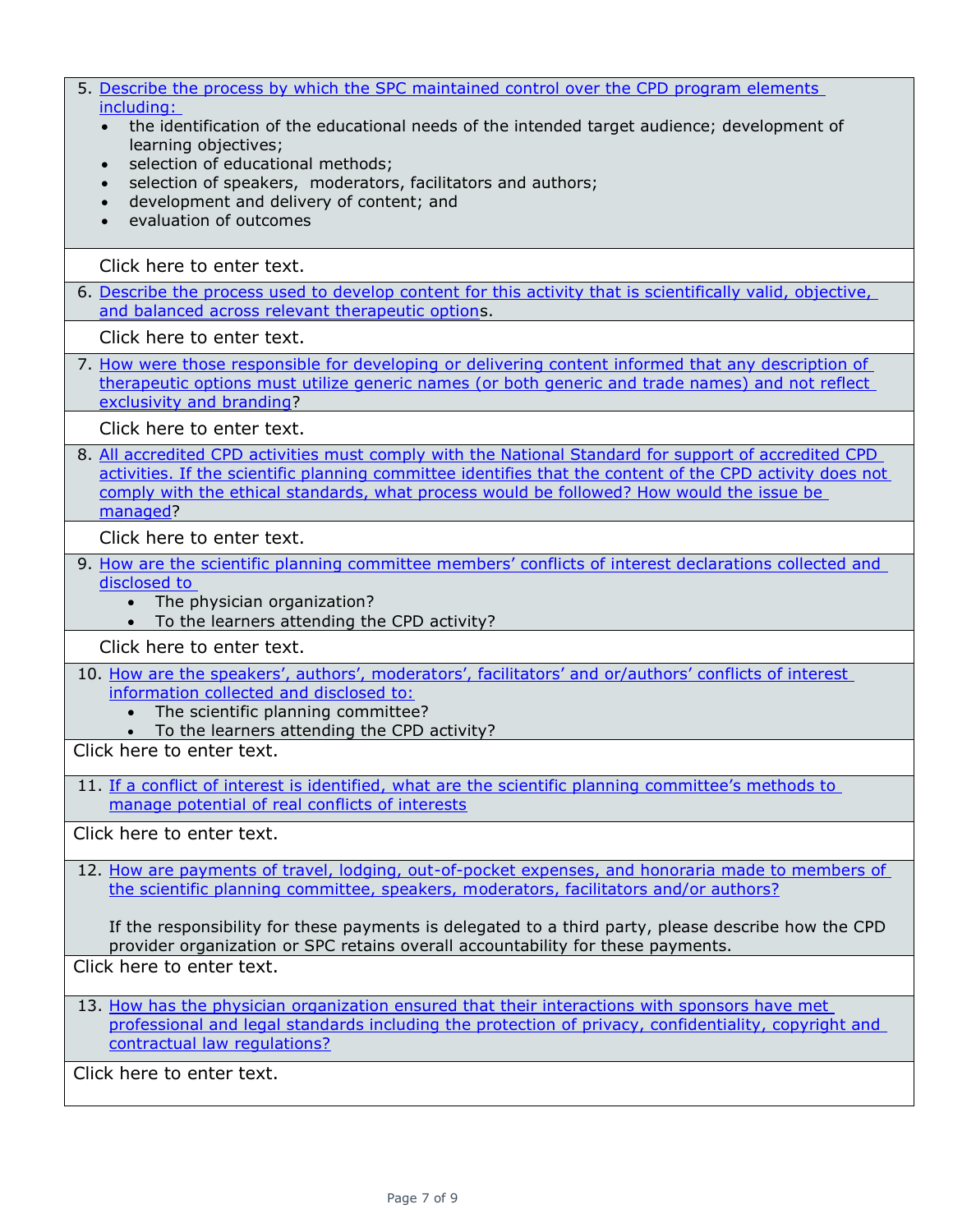| 5. Describe the process by which the SPC maintained control over the CPD program elements<br>including:<br>the identification of the educational needs of the intended target audience; development of<br>$\bullet$<br>learning objectives;<br>selection of educational methods;<br>$\bullet$<br>selection of speakers, moderators, facilitators and authors;<br>$\bullet$<br>development and delivery of content; and<br>$\bullet$<br>evaluation of outcomes<br>$\bullet$ |
|----------------------------------------------------------------------------------------------------------------------------------------------------------------------------------------------------------------------------------------------------------------------------------------------------------------------------------------------------------------------------------------------------------------------------------------------------------------------------|
| Click here to enter text.                                                                                                                                                                                                                                                                                                                                                                                                                                                  |
| 6. Describe the process used to develop content for this activity that is scientifically valid, objective,<br>and balanced across relevant therapeutic options.                                                                                                                                                                                                                                                                                                            |
| Click here to enter text.                                                                                                                                                                                                                                                                                                                                                                                                                                                  |
| 7. How were those responsible for developing or delivering content informed that any description of<br>therapeutic options must utilize generic names (or both generic and trade names) and not reflect<br>exclusivity and branding?                                                                                                                                                                                                                                       |
| Click here to enter text.                                                                                                                                                                                                                                                                                                                                                                                                                                                  |
| 8. All accredited CPD activities must comply with the National Standard for support of accredited CPD<br>activities. If the scientific planning committee identifies that the content of the CPD activity does not<br>comply with the ethical standards, what process would be followed? How would the issue be<br>managed?                                                                                                                                                |
| Click here to enter text.                                                                                                                                                                                                                                                                                                                                                                                                                                                  |
| 9. How are the scientific planning committee members' conflicts of interest declarations collected and<br>disclosed to<br>The physician organization?<br>$\bullet$<br>• To the learners attending the CPD activity?                                                                                                                                                                                                                                                        |
| Click here to enter text.                                                                                                                                                                                                                                                                                                                                                                                                                                                  |
| 10. How are the speakers', authors', moderators', facilitators' and or/authors' conflicts of interest<br>information collected and disclosed to:<br>The scientific planning committee?<br>$\bullet$<br>To the learners attending the CPD activity?<br>$\bullet$                                                                                                                                                                                                            |
| Click here to enter text.                                                                                                                                                                                                                                                                                                                                                                                                                                                  |
| 11. If a conflict of interest is identified, what are the scientific planning committee's methods to<br>manage potential of real conflicts of interests                                                                                                                                                                                                                                                                                                                    |
| Click here to enter text.                                                                                                                                                                                                                                                                                                                                                                                                                                                  |
| 12. How are payments of travel, lodging, out-of-pocket expenses, and honoraria made to members of<br>the scientific planning committee, speakers, moderators, facilitators and/or authors?                                                                                                                                                                                                                                                                                 |
| If the responsibility for these payments is delegated to a third party, please describe how the CPD<br>provider organization or SPC retains overall accountability for these payments.                                                                                                                                                                                                                                                                                     |
| Click here to enter text.                                                                                                                                                                                                                                                                                                                                                                                                                                                  |
| 13. How has the physician organization ensured that their interactions with sponsors have met<br>professional and legal standards including the protection of privacy, confidentiality, copyright and<br>contractual law regulations?                                                                                                                                                                                                                                      |
| Click here to enter text.                                                                                                                                                                                                                                                                                                                                                                                                                                                  |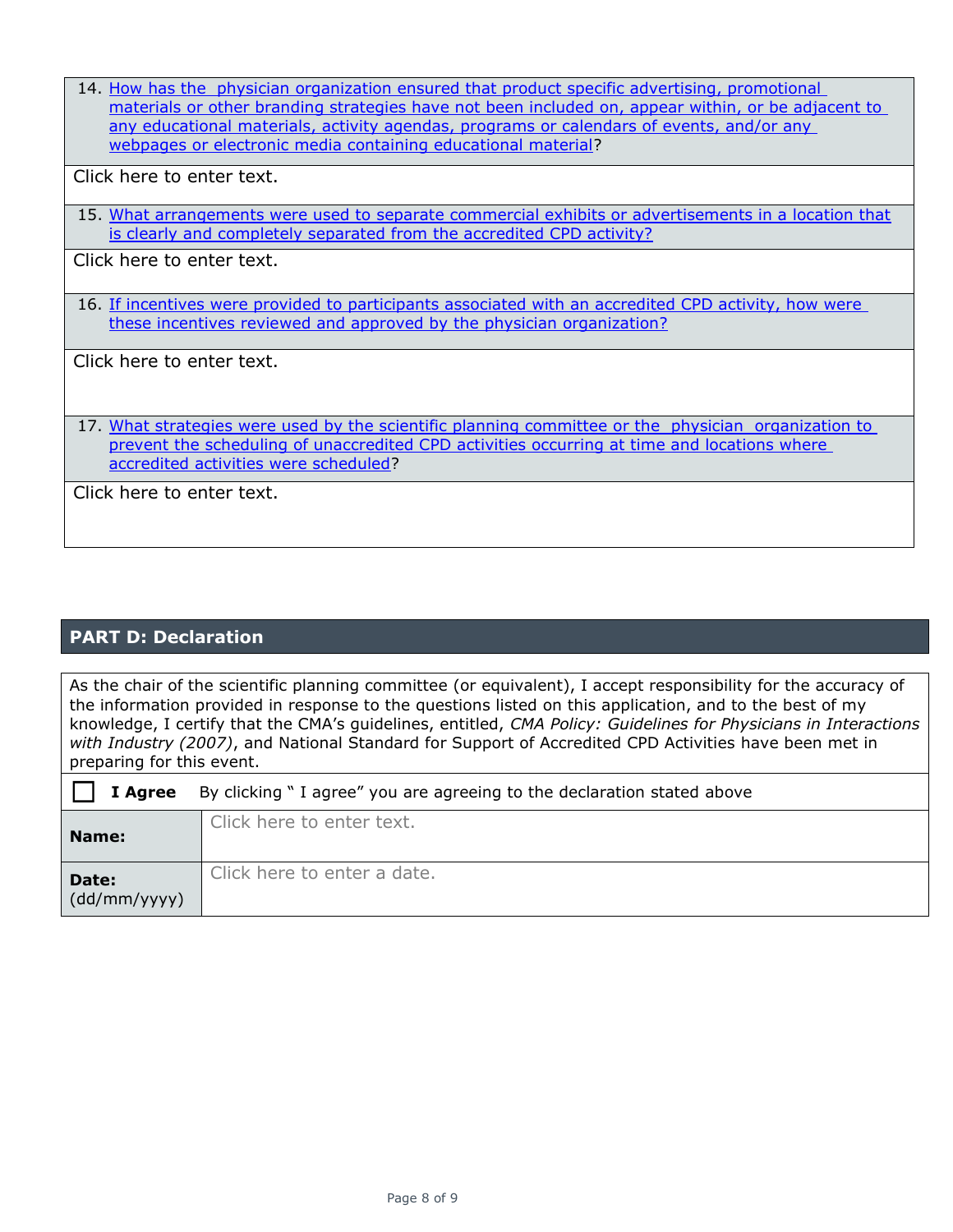14. How has the physician [organization ensured that product specific advertising, promotional](http://www.royalcollege.ca/rcsite/cpd/providers/tools-resources-accredited-cpd-providers/national-standard-accredited-cpd-activities-e)  [materials or other branding strategies have not been included on, appear within, or be adjacent to](http://www.royalcollege.ca/rcsite/cpd/providers/tools-resources-accredited-cpd-providers/national-standard-accredited-cpd-activities-e)  [any educational materials, activity agendas, programs or calendars of events, and/or any](http://www.royalcollege.ca/rcsite/cpd/providers/tools-resources-accredited-cpd-providers/national-standard-accredited-cpd-activities-e)  webpages [or electronic media containing educational material?](http://www.royalcollege.ca/rcsite/cpd/providers/tools-resources-accredited-cpd-providers/national-standard-accredited-cpd-activities-e)

Click here to enter text.

15. What arrangements were used to separate commercial exhibits or advertisements in a location that is clearly and [completely separated from the accredited CPD activity?](http://www.royalcollege.ca/rcsite/cpd/providers/tools-resources-accredited-cpd-providers/national-standard-accredited-cpd-activities-e)

Click here to enter text.

16. [If incentives were provided to participants associated with an accredited CPD activity, how were](http://www.royalcollege.ca/rcsite/cpd/providers/tools-resources-accredited-cpd-providers/national-standard-accredited-cpd-activities-e)  [these incentives reviewed and approved by the physician organization?](http://www.royalcollege.ca/rcsite/cpd/providers/tools-resources-accredited-cpd-providers/national-standard-accredited-cpd-activities-e)

Click here to enter text.

17. What strategies [were used by the scientific planning committee or](http://www.royalcollege.ca/rcsite/cpd/providers/tools-resources-accredited-cpd-providers/national-standard-accredited-cpd-activities-e) the physician organization to prevent the scheduling of unaccredited CPD activities occurring at time and locations where [accredited activities were scheduled?](http://www.royalcollege.ca/rcsite/cpd/providers/tools-resources-accredited-cpd-providers/national-standard-accredited-cpd-activities-e)

Click here to enter text.

## **PART D: Declaration**

As the chair of the scientific planning committee (or equivalent), I accept responsibility for the accuracy of the information provided in response to the questions listed on this application, and to the best of my knowledge, I certify that the CMA's guidelines, entitled, *CMA Policy: Guidelines for Physicians in Interactions with Industry (2007)*, and National Standard for Support of Accredited CPD Activities have been met in preparing for this event.

| I Agree               | By clicking "I agree" you are agreeing to the declaration stated above |
|-----------------------|------------------------------------------------------------------------|
| Name:                 | Click here to enter text.                                              |
| Date:<br>(dd/mm/yyyy) | Click here to enter a date.                                            |